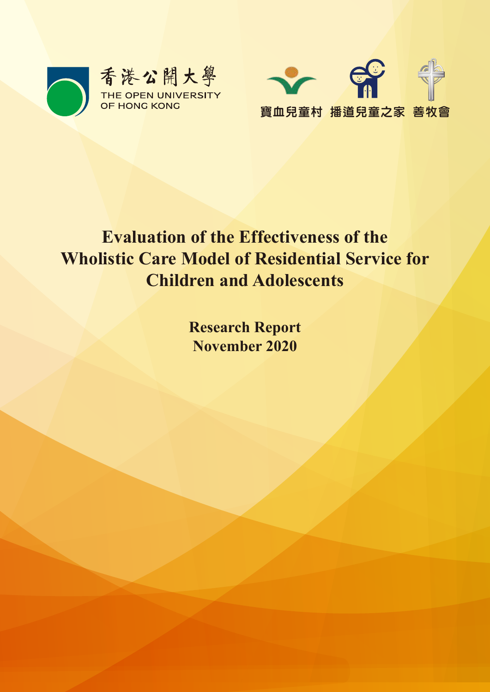



# **Evaluation of the Effectiveness of the Wholistic Care Model of Residential Service for Children and Adolescents**

**Research Report November 2020**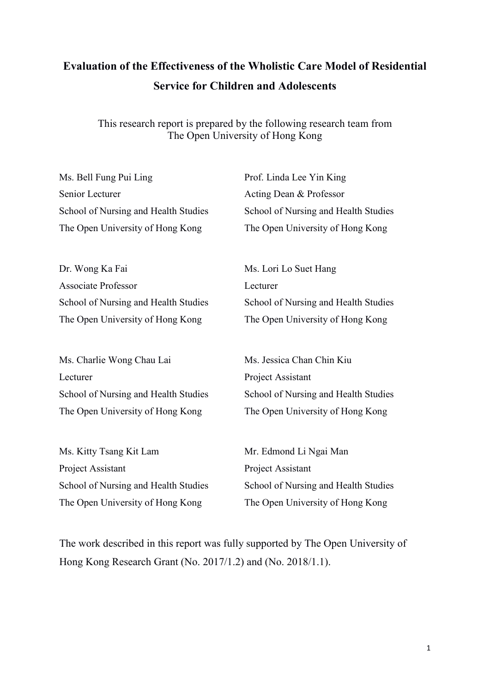## **Evaluation of the Effectiveness of the Wholistic Care Model of Residential Service for Children and Adolescents**

This research report is prepared by the following research team from The Open University of Hong Kong

Ms. Bell Fung Pui Ling Senior Lecturer School of Nursing and Health Studies The Open University of Hong Kong

Prof. Linda Lee Yin King Acting Dean & Professor School of Nursing and Health Studies The Open University of Hong Kong

Dr. Wong Ka Fai Associate Professor School of Nursing and Health Studies The Open University of Hong Kong

Ms. Charlie Wong Chau Lai Lecturer School of Nursing and Health Studies The Open University of Hong Kong

Ms. Kitty Tsang Kit Lam Project Assistant School of Nursing and Health Studies The Open University of Hong Kong

Ms. Lori Lo Suet Hang Lecturer School of Nursing and Health Studies The Open University of Hong Kong

Ms. Jessica Chan Chin Kiu Project Assistant School of Nursing and Health Studies The Open University of Hong Kong

Mr. Edmond Li Ngai Man Project Assistant School of Nursing and Health Studies The Open University of Hong Kong

The work described in this report was fully supported by The Open University of Hong Kong Research Grant (No. 2017/1.2) and (No. 2018/1.1).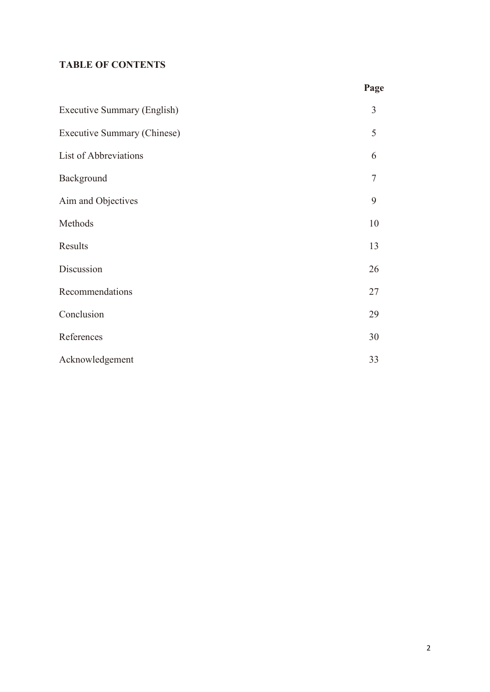### **TABLE OF CONTENTS**

|                             | Page |
|-----------------------------|------|
| Executive Summary (English) | 3    |
| Executive Summary (Chinese) | 5    |
| List of Abbreviations       | 6    |
| Background                  | 7    |
| Aim and Objectives          | 9    |
| Methods                     | 10   |
| Results                     | 13   |
| Discussion                  | 26   |
| Recommendations             | 27   |
| Conclusion                  | 29   |
| References                  | 30   |
| Acknowledgement             | 33   |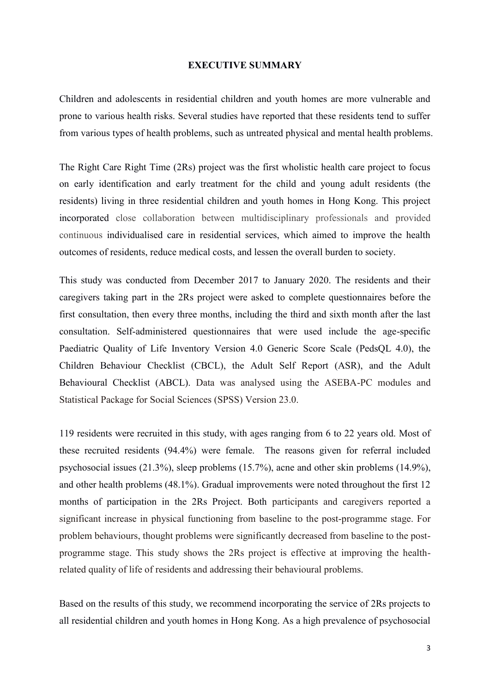#### **EXECUTIVE SUMMARY**

Children and adolescents in residential children and youth homes are more vulnerable and prone to various health risks. Several studies have reported that these residents tend to suffer from various types of health problems, such as untreated physical and mental health problems.

The Right Care Right Time (2Rs) project was the first wholistic health care project to focus on early identification and early treatment for the child and young adult residents (the residents) living in three residential children and youth homes in Hong Kong. This project incorporated close collaboration between multidisciplinary professionals and provided continuous individualised care in residential services, which aimed to improve the health outcomes of residents, reduce medical costs, and lessen the overall burden to society.

This study was conducted from December 2017 to January 2020. The residents and their caregivers taking part in the 2Rs project were asked to complete questionnaires before the first consultation, then every three months, including the third and sixth month after the last consultation. Self-administered questionnaires that were used include the age-specific Paediatric Quality of Life Inventory Version 4.0 Generic Score Scale (PedsQL 4.0), the Children Behaviour Checklist (CBCL), the Adult Self Report (ASR), and the Adult Behavioural Checklist (ABCL). Data was analysed using the ASEBA-PC modules and Statistical Package for Social Sciences (SPSS) Version 23.0.

119 residents were recruited in this study, with ages ranging from 6 to 22 years old. Most of these recruited residents (94.4%) were female. The reasons given for referral included psychosocial issues (21.3%), sleep problems (15.7%), acne and other skin problems (14.9%), and other health problems (48.1%). Gradual improvements were noted throughout the first 12 months of participation in the 2Rs Project. Both participants and caregivers reported a significant increase in physical functioning from baseline to the post-programme stage. For problem behaviours, thought problems were significantly decreased from baseline to the postprogramme stage. This study shows the 2Rs project is effective at improving the healthrelated quality of life of residents and addressing their behavioural problems.

Based on the results of this study, we recommend incorporating the service of 2Rs projects to all residential children and youth homes in Hong Kong. As a high prevalence of psychosocial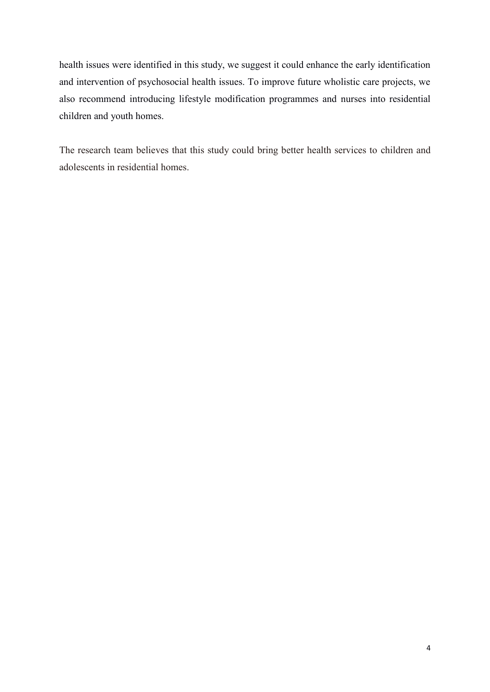health issues were identified in this study, we suggest it could enhance the early identification and intervention of psychosocial health issues. To improve future wholistic care projects, we also recommend introducing lifestyle modification programmes and nurses into residential children and youth homes.

The research team believes that this study could bring better health services to children and adolescents in residential homes.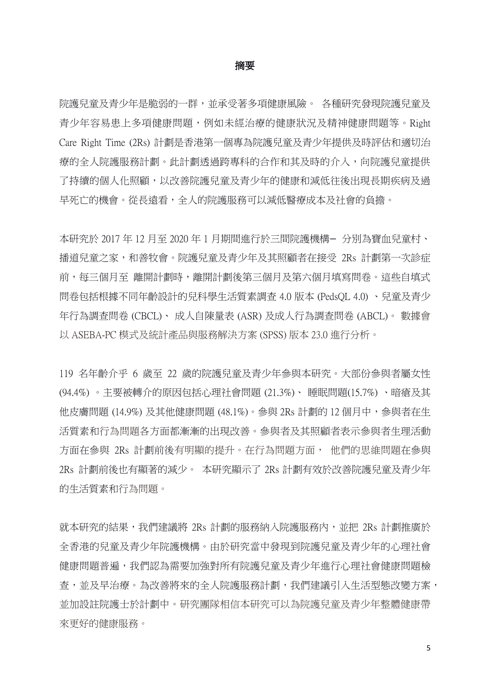#### 摘要

院護兒童及青少年是脆弱的一群,並承受著多項健康風險。 各種研究發現院護兒童及 青少年容易患上多項健康問題,例如未經治療的健康狀況及精神健康問題等。Right Care Right Time (2Rs) 計劃是香港第一個專為院護兒童及青少年提供及時評估和適切治 療的全人院護服務計劃。此計劃透過跨專科的合作和其及時的介入,向院護兒童提供 了持續的個人化照顧,以改善院護兒童及青少年的健康和減低往後出現長期疾病及過 早死亡的機會。從長遠看,全人的院護服務可以減低醫療成本及社會的負擔。

本研究於 2017年 12月至 2020年 1月期間進行於三間院護機構-分別為寶血兒童村、 播道兒童之家,和善牧會。院護兒童及青少年及其照顧者在接受 2Rs 計劃第一次診症 前,每三個月至 離開計劃時,離開計劃後第三個月及第六個月填寫問卷。這些自填式 問卷包括根據不同年齡設計的兒科學生活質素調查 4.0 版本 (PedsQL 4.0) 、兒童及青少 年行為調查問卷 (CBCL)、 成人自陳量表 (ASR) 及成人行為調查問卷 (ABCL)。 數據會 以 ASEBA-PC 模式及統計產品與服務解決方案 (SPSS) 版本 23.0 進行分析。

119 名年齡介乎 6 歲至 22 歲的院護兒童及青少年參與本研究。大部份參與者屬女性 (94.4%) 。主要被轉介的原因包括心理社會問題 (21.3%)、 睡眠問題(15.7%) 、暗瘡及其 他皮膚問題 (14.9%) 及其他健康問題 (48.1%)。參與 2Rs 計劃的 12 個月中,參與者在生 活質素和行為問題各方面都漸漸的出現改善。參與者及其照顧者表示參與者生理活動 方面在參與 2Rs 計劃前後有明顯的提升。在行為問題方面, 他們的思維問題在參與 2Rs 計劃前後也有顯著的減少。 本研究顯示了 2Rs 計劃有效於改善院護兒童及青少年 的生活質素和行為問題。

就本研究的結果,我們建議將 2Rs 計劃的服務納入院護服務內,並把 2Rs 計劃推廣於 全香港的兒童及青少年院護機構。由於研究當中發現到院護兒童及青少年的心理社會 健康問題普遍,我們認為需要加強對所有院護兒童及青少年進行心理社會健康問題檢 查,並及早治療。為改善將來的全人院護服務計劃,我們建議引入生活型態改變方案, 並加設註院護士於計劃中。研究團隊相信本研究可以為院護兒童及青少年整體健康帶 來更好的健康服務。

5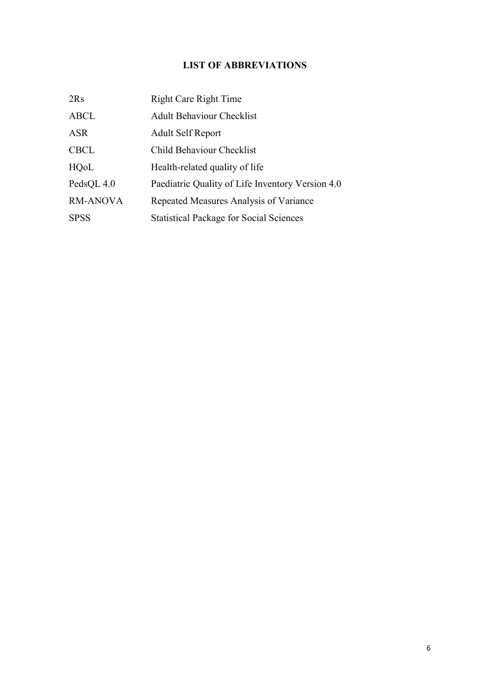## **LIST OF ABBREVIATIONS**

| 2Rs             | <b>Right Care Right Time</b>                     |
|-----------------|--------------------------------------------------|
| <b>ABCL</b>     | <b>Adult Behaviour Checklist</b>                 |
| <b>ASR</b>      | <b>Adult Self Report</b>                         |
| <b>CBCL</b>     | Child Behaviour Checklist                        |
| HQoL            | Health-related quality of life                   |
| PedsQL 4.0      | Paediatric Quality of Life Inventory Version 4.0 |
| <b>RM-ANOVA</b> | Repeated Measures Analysis of Variance           |
| <b>SPSS</b>     | <b>Statistical Package for Social Sciences</b>   |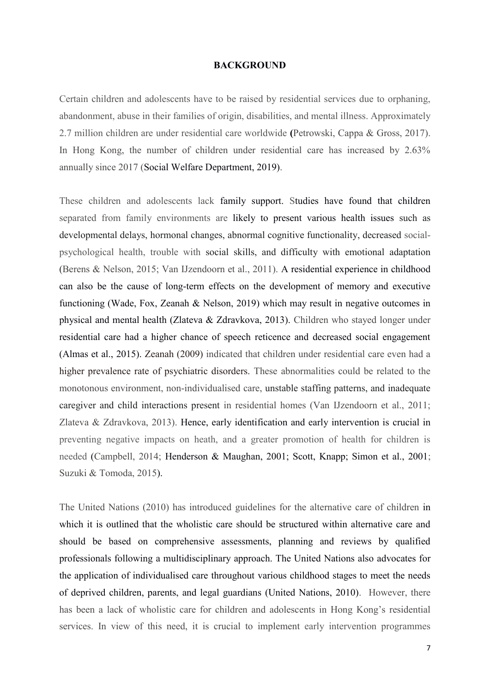#### **BACKGROUND**

Certain children and adolescents have to be raised by residential services due to orphaning, abandonment, abuse in their families of origin, disabilities, and mental illness. Approximately 2.7 million children are under residential care worldwide **(**Petrowski, Cappa & Gross, 2017). In Hong Kong, the number of children under residential care has increased by 2.63% annually since 2017 (Social Welfare Department, 2019).

These children and adolescents lack family support. Studies have found that children separated from family environments are likely to present various health issues such as developmental delays, hormonal changes, abnormal cognitive functionality, decreased socialpsychological health, trouble with social skills, and difficulty with emotional adaptation (Berens & Nelson, 2015; Van IJzendoorn et al., 2011). A residential experience in childhood can also be the cause of long-term effects on the development of memory and executive functioning (Wade, Fox, Zeanah & Nelson, 2019) which may result in negative outcomes in physical and mental health (Zlateva & Zdravkova, 2013). Children who stayed longer under residential care had a higher chance of speech reticence and decreased social engagement (Almas et al., 2015). Zeanah (2009) indicated that children under residential care even had a higher prevalence rate of psychiatric disorders. These abnormalities could be related to the monotonous environment, non-individualised care, unstable staffing patterns, and inadequate caregiver and child interactions present in residential homes (Van IJzendoorn et al., 2011; Zlateva & Zdravkova, 2013). Hence, early identification and early intervention is crucial in preventing negative impacts on heath, and a greater promotion of health for children is needed (Campbell, 2014; Henderson & Maughan, 2001; Scott, Knapp; Simon et al., 2001; Suzuki & Tomoda, 2015).

The United Nations (2010) has introduced guidelines for the alternative care of children in which it is outlined that the wholistic care should be structured within alternative care and should be based on comprehensive assessments, planning and reviews by qualified professionals following a multidisciplinary approach. The United Nations also advocates for the application of individualised care throughout various childhood stages to meet the needs of deprived children, parents, and legal guardians (United Nations, 2010). However, there has been a lack of wholistic care for children and adolescents in Hong Kong's residential services. In view of this need, it is crucial to implement early intervention programmes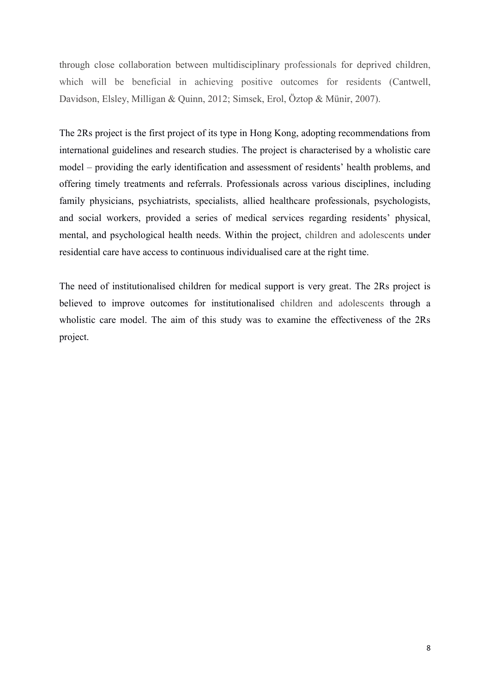through close collaboration between multidisciplinary professionals for deprived children, which will be beneficial in achieving positive outcomes for residents (Cantwell, Davidson, Elsley, Milligan & Quinn, 2012; Simsek, Erol, Öztop & Münir, 2007).

The 2Rs project is the first project of its type in Hong Kong, adopting recommendations from international guidelines and research studies. The project is characterised by a wholistic care model – providing the early identification and assessment of residents' health problems, and offering timely treatments and referrals. Professionals across various disciplines, including family physicians, psychiatrists, specialists, allied healthcare professionals, psychologists, and social workers, provided a series of medical services regarding residents' physical, mental, and psychological health needs. Within the project, children and adolescents under residential care have access to continuous individualised care at the right time.

The need of institutionalised children for medical support is very great. The 2Rs project is believed to improve outcomes for institutionalised children and adolescents through a wholistic care model. The aim of this study was to examine the effectiveness of the 2Rs project.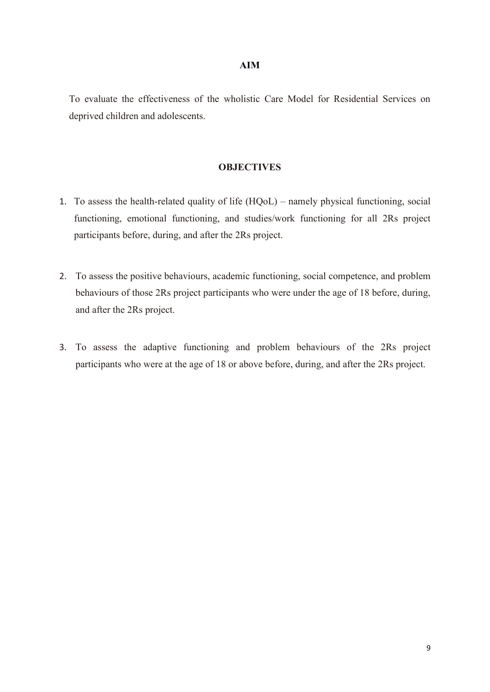To evaluate the effectiveness of the wholistic Care Model for Residential Services on deprived children and adolescents.

#### **OBJECTIVES**

- 1. To assess the health-related quality of life (HQoL) namely physical functioning, social functioning, emotional functioning, and studies/work functioning for all 2Rs project participants before, during, and after the 2Rs project.
- 2. To assess the positive behaviours, academic functioning, social competence, and problem behaviours of those 2Rs project participants who were under the age of 18 before, during, and after the 2Rs project.
- 3. To assess the adaptive functioning and problem behaviours of the 2Rs project participants who were at the age of 18 or above before, during, and after the 2Rs project.

#### **AIM**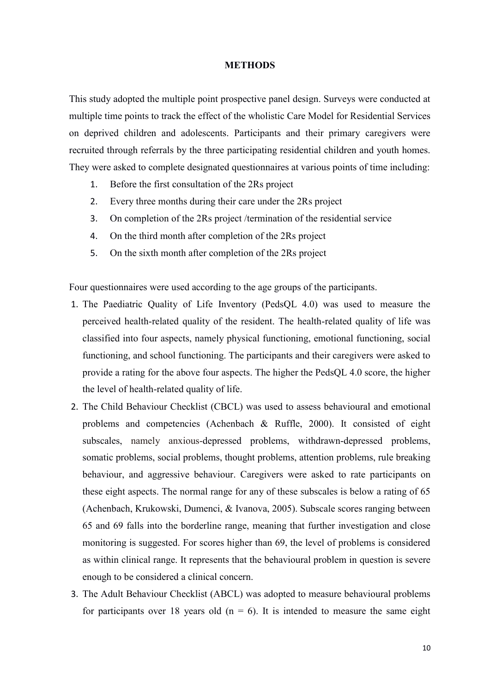#### **METHODS**

This study adopted the multiple point prospective panel design. Surveys were conducted at multiple time points to track the effect of the wholistic Care Model for Residential Services on deprived children and adolescents. Participants and their primary caregivers were recruited through referrals by the three participating residential children and youth homes. They were asked to complete designated questionnaires at various points of time including:

- 1. Before the first consultation of the 2Rs project
- 2. Every three months during their care under the 2Rs project
- 3. On completion of the 2Rs project /termination of the residential service
- 4. On the third month after completion of the 2Rs project
- 5. On the sixth month after completion of the 2Rs project

Four questionnaires were used according to the age groups of the participants.

- 1. The Paediatric Quality of Life Inventory (PedsQL 4.0) was used to measure the perceived health-related quality of the resident. The health-related quality of life was classified into four aspects, namely physical functioning, emotional functioning, social functioning, and school functioning. The participants and their caregivers were asked to provide a rating for the above four aspects. The higher the PedsQL 4.0 score, the higher the level of health-related quality of life.
- 2. The Child Behaviour Checklist (CBCL) was used to assess behavioural and emotional problems and competencies (Achenbach & Ruffle, 2000). It consisted of eight subscales, namely anxious-depressed problems, withdrawn-depressed problems, somatic problems, social problems, thought problems, attention problems, rule breaking behaviour, and aggressive behaviour. Caregivers were asked to rate participants on these eight aspects. The normal range for any of these subscales is below a rating of 65 (Achenbach, Krukowski, Dumenci, & Ivanova, 2005). Subscale scores ranging between 65 and 69 falls into the borderline range, meaning that further investigation and close monitoring is suggested. For scores higher than 69, the level of problems is considered as within clinical range. It represents that the behavioural problem in question is severe enough to be considered a clinical concern.
- 3. The Adult Behaviour Checklist (ABCL) was adopted to measure behavioural problems for participants over 18 years old  $(n = 6)$ . It is intended to measure the same eight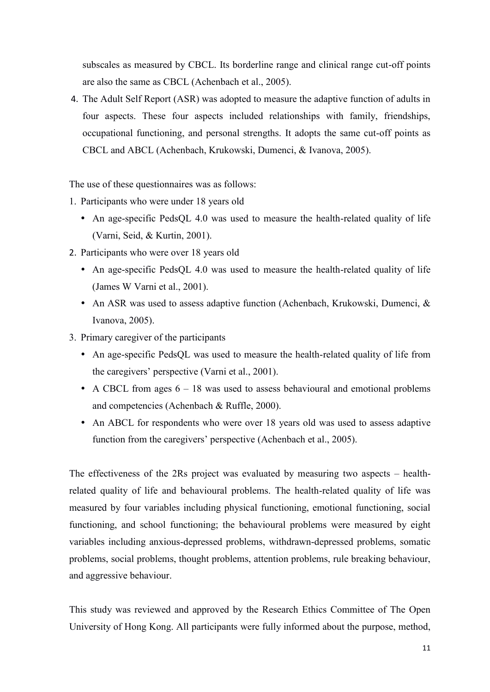subscales as measured by CBCL. Its borderline range and clinical range cut-off points are also the same as CBCL (Achenbach et al., 2005).

4. The Adult Self Report (ASR) was adopted to measure the adaptive function of adults in four aspects. These four aspects included relationships with family, friendships, occupational functioning, and personal strengths. It adopts the same cut-off points as CBCL and ABCL (Achenbach, Krukowski, Dumenci, & Ivanova, 2005).

The use of these questionnaires was as follows:

- 1. Participants who were under 18 years old
	- An age-specific PedsQL 4.0 was used to measure the health-related quality of life (Varni, Seid, & Kurtin, 2001).
- 2. Participants who were over 18 years old
	- An age-specific PedsQL 4.0 was used to measure the health-related quality of life (James W Varni et al., 2001).
	- An ASR was used to assess adaptive function (Achenbach, Krukowski, Dumenci, & Ivanova, 2005).
- 3. Primary caregiver of the participants
	- An age-specific PedsQL was used to measure the health-related quality of life from the caregivers' perspective (Varni et al., 2001).
	- A CBCL from ages  $6 18$  was used to assess behavioural and emotional problems and competencies (Achenbach & Ruffle, 2000).
	- An ABCL for respondents who were over 18 years old was used to assess adaptive function from the caregivers' perspective (Achenbach et al., 2005).

The effectiveness of the 2Rs project was evaluated by measuring two aspects – healthrelated quality of life and behavioural problems. The health-related quality of life was measured by four variables including physical functioning, emotional functioning, social functioning, and school functioning; the behavioural problems were measured by eight variables including anxious-depressed problems, withdrawn-depressed problems, somatic problems, social problems, thought problems, attention problems, rule breaking behaviour, and aggressive behaviour.

This study was reviewed and approved by the Research Ethics Committee of The Open University of Hong Kong. All participants were fully informed about the purpose, method,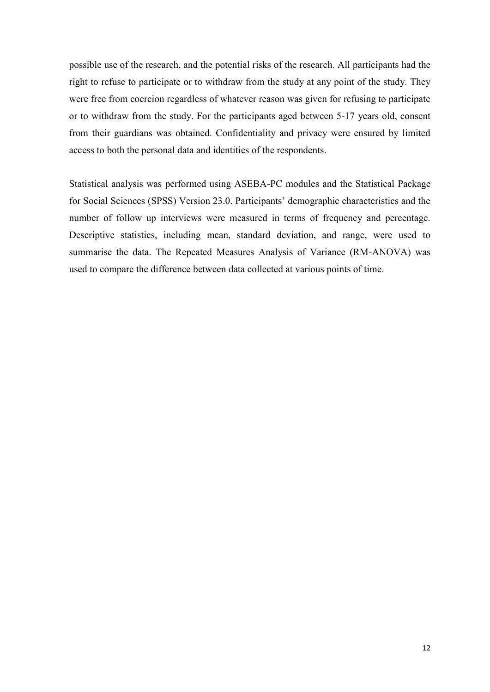possible use of the research, and the potential risks of the research. All participants had the right to refuse to participate or to withdraw from the study at any point of the study. They were free from coercion regardless of whatever reason was given for refusing to participate or to withdraw from the study. For the participants aged between 5-17 years old, consent from their guardians was obtained. Confidentiality and privacy were ensured by limited access to both the personal data and identities of the respondents.

Statistical analysis was performed using ASEBA-PC modules and the Statistical Package for Social Sciences (SPSS) Version 23.0. Participants' demographic characteristics and the number of follow up interviews were measured in terms of frequency and percentage. Descriptive statistics, including mean, standard deviation, and range, were used to summarise the data. The Repeated Measures Analysis of Variance (RM-ANOVA) was used to compare the difference between data collected at various points of time.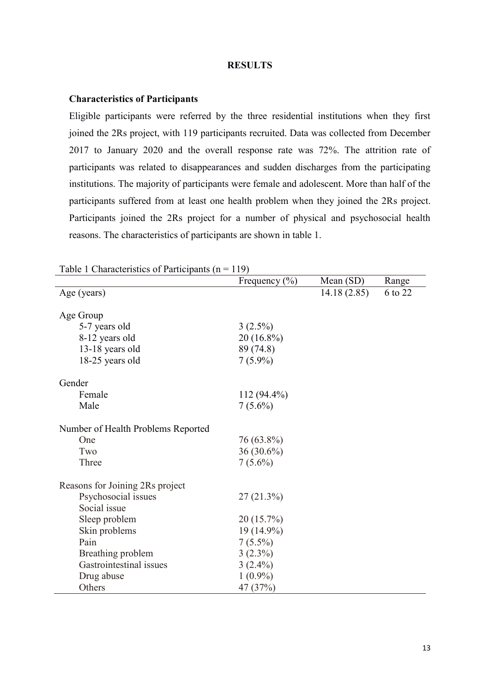#### **RESULTS**

#### **Characteristics of Participants**

Eligible participants were referred by the three residential institutions when they first joined the 2Rs project, with 119 participants recruited. Data was collected from December 2017 to January 2020 and the overall response rate was 72%. The attrition rate of participants was related to disappearances and sudden discharges from the participating institutions. The majority of participants were female and adolescent. More than half of the participants suffered from at least one health problem when they joined the 2Rs project. Participants joined the 2Rs project for a number of physical and psychosocial health reasons. The characteristics of participants are shown in table 1.

|                                    | Frequency $(\% )$ | Mean $(SD)$ | Range   |
|------------------------------------|-------------------|-------------|---------|
| Age (years)                        |                   | 14.18(2.85) | 6 to 22 |
|                                    |                   |             |         |
| Age Group                          |                   |             |         |
| 5-7 years old                      | $3(2.5\%)$        |             |         |
| 8-12 years old                     | 20 (16.8%)        |             |         |
| 13-18 years old                    | 89 (74.8)         |             |         |
| 18-25 years old                    | $7(5.9\%)$        |             |         |
| Gender                             |                   |             |         |
| Female                             | $112(94.4\%)$     |             |         |
| Male                               | $7(5.6\%)$        |             |         |
|                                    |                   |             |         |
| Number of Health Problems Reported |                   |             |         |
| One                                | 76 (63.8%)        |             |         |
| Two                                | $36(30.6\%)$      |             |         |
| Three                              | $7(5.6\%)$        |             |         |
| Reasons for Joining 2Rs project    |                   |             |         |
| Psychosocial issues                | 27(21.3%)         |             |         |
| Social issue                       |                   |             |         |
| Sleep problem                      | 20 (15.7%)        |             |         |
| Skin problems                      | 19 (14.9%)        |             |         |
| Pain                               | $7(5.5\%)$        |             |         |
| Breathing problem                  | $3(2.3\%)$        |             |         |
| Gastrointestinal issues            | $3(2.4\%)$        |             |         |
| Drug abuse                         | $1(0.9\%)$        |             |         |
| Others                             | 47 (37%)          |             |         |

Table 1 Characteristics of Participants  $(n = 119)$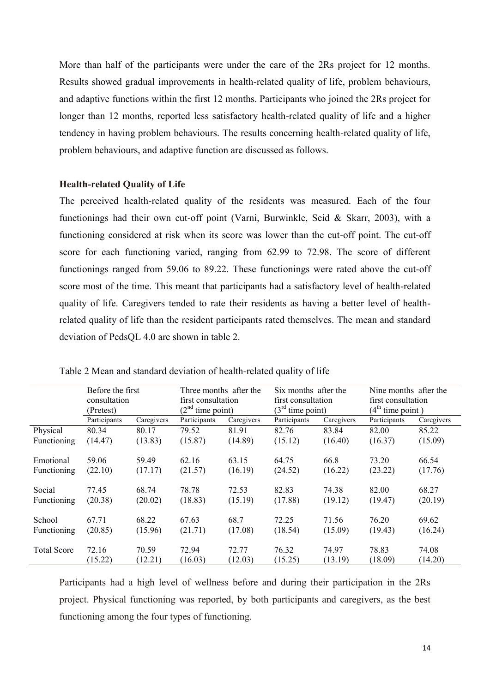More than half of the participants were under the care of the 2Rs project for 12 months. Results showed gradual improvements in health-related quality of life, problem behaviours, and adaptive functions within the first 12 months. Participants who joined the 2Rs project for longer than 12 months, reported less satisfactory health-related quality of life and a higher tendency in having problem behaviours. The results concerning health-related quality of life, problem behaviours, and adaptive function are discussed as follows.

#### **Health-related Quality of Life**

The perceived health-related quality of the residents was measured. Each of the four functionings had their own cut-off point (Varni, Burwinkle, Seid & Skarr, 2003), with a functioning considered at risk when its score was lower than the cut-off point. The cut-off score for each functioning varied, ranging from 62.99 to 72.98. The score of different functionings ranged from 59.06 to 89.22. These functionings were rated above the cut-off score most of the time. This meant that participants had a satisfactory level of health-related quality of life. Caregivers tended to rate their residents as having a better level of healthrelated quality of life than the resident participants rated themselves. The mean and standard deviation of PedsQL 4.0 are shown in table 2.

|                    | Before the first |            | Three months after the |            | Six months after the |            | Nine months after the |            |
|--------------------|------------------|------------|------------------------|------------|----------------------|------------|-----------------------|------------|
|                    | consultation     |            | first consultation     |            | first consultation   |            | first consultation    |            |
|                    | (Pretest)        |            | $(2nd$ time point)     |            | $3rd$ time point)    |            | $(4th$ time point)    |            |
|                    | Participants     | Caregivers | Participants           | Caregivers | Participants         | Caregivers | Participants          | Caregivers |
| Physical           | 80.34            | 80.17      | 79.52                  | 81.91      | 82.76                | 83.84      | 82.00                 | 85.22      |
| Functioning        | (14.47)          | (13.83)    | (15.87)                | (14.89)    | (15.12)              | (16.40)    | (16.37)               | (15.09)    |
| Emotional          | 59.06            | 59.49      | 62.16                  | 63.15      | 64.75                | 66.8       | 73.20                 | 66.54      |
| Functioning        | (22.10)          | (17.17)    | (21.57)                | (16.19)    | (24.52)              | (16.22)    | (23.22)               | (17.76)    |
| Social             | 77.45            | 68.74      | 78.78                  | 72.53      | 82.83                | 74.38      | 82.00                 | 68.27      |
| Functioning        | (20.38)          | (20.02)    | (18.83)                | (15.19)    | (17.88)              | (19.12)    | (19.47)               | (20.19)    |
| School             | 67.71            | 68.22      | 67.63                  | 68.7       | 72.25                | 71.56      | 76.20                 | 69.62      |
| Functioning        | (20.85)          | (15.96)    | (21.71)                | (17.08)    | (18.54)              | (15.09)    | (19.43)               | (16.24)    |
| <b>Total Score</b> | 72.16            | 70.59      | 72.94                  | 72.77      | 76.32                | 74.97      | 78.83                 | 74.08      |
|                    | (15.22)          | (12.21)    | (16.03)                | (12.03)    | (15.25)              | (13.19)    | (18.09)               | (14.20)    |

Table 2 Mean and standard deviation of health-related quality of life

Participants had a high level of wellness before and during their participation in the 2Rs project. Physical functioning was reported, by both participants and caregivers, as the best functioning among the four types of functioning.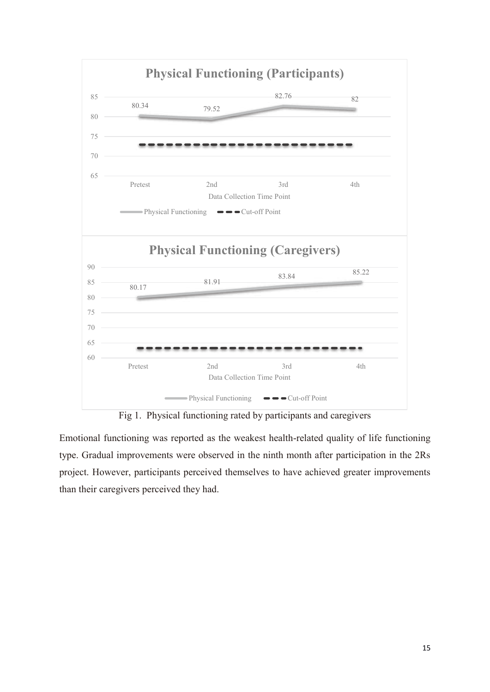

Fig 1. Physical functioning rated by participants and caregivers

Emotional functioning was reported as the weakest health-related quality of life functioning type. Gradual improvements were observed in the ninth month after participation in the 2Rs project. However, participants perceived themselves to have achieved greater improvements than their caregivers perceived they had.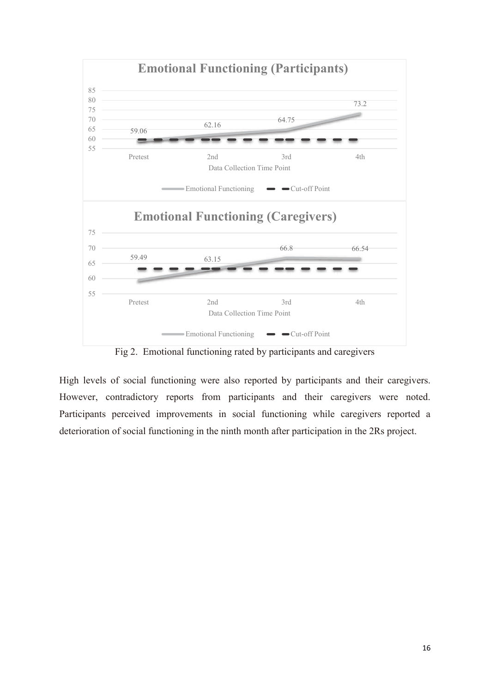

Fig 2. Emotional functioning rated by participants and caregivers

High levels of social functioning were also reported by participants and their caregivers. However, contradictory reports from participants and their caregivers were noted. Participants perceived improvements in social functioning while caregivers reported a deterioration of social functioning in the ninth month after participation in the 2Rs project.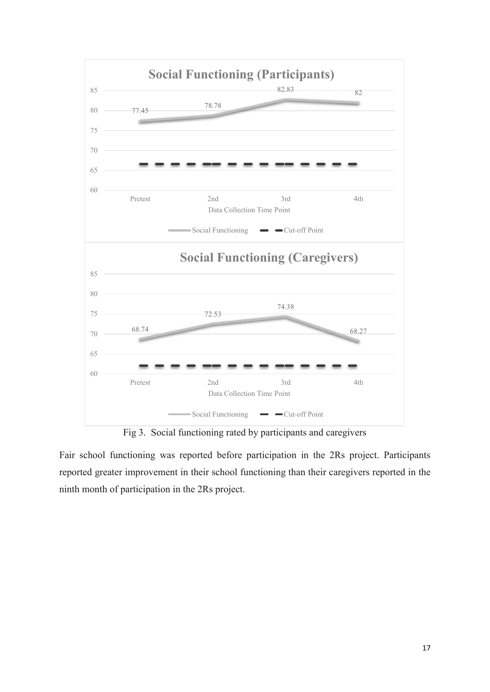

Fig 3. Social functioning rated by participants and caregivers

Fair school functioning was reported before participation in the 2Rs project. Participants reported greater improvement in their school functioning than their caregivers reported in the ninth month of participation in the 2Rs project.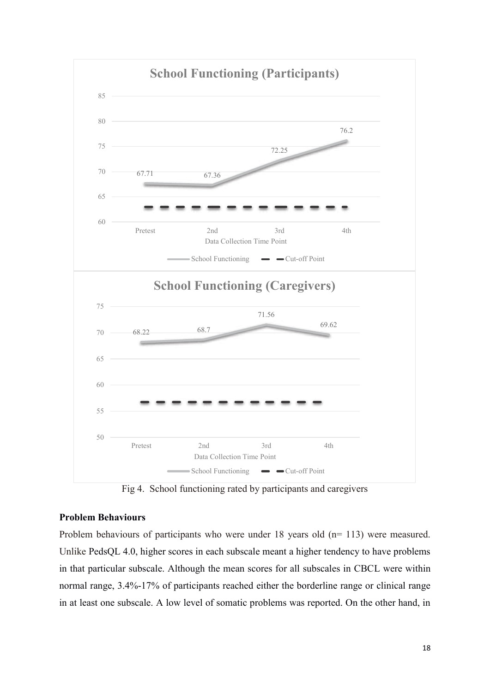

Fig 4. School functioning rated by participants and caregivers

#### **Problem Behaviours**

Problem behaviours of participants who were under 18 years old (n= 113) were measured. Unlike PedsQL 4.0, higher scores in each subscale meant a higher tendency to have problems in that particular subscale. Although the mean scores for all subscales in CBCL were within normal range, 3.4%-17% of participants reached either the borderline range or clinical range in at least one subscale. A low level of somatic problems was reported. On the other hand, in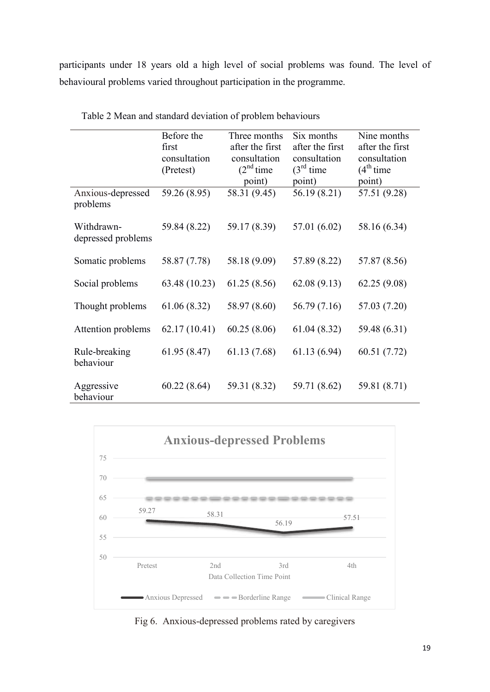participants under 18 years old a high level of social problems was found. The level of behavioural problems varied throughout participation in the programme.

|                                  | Before the    | Three months    | Six months      | Nine months     |
|----------------------------------|---------------|-----------------|-----------------|-----------------|
|                                  | first         | after the first | after the first | after the first |
|                                  | consultation  | consultation    | consultation    | consultation    |
|                                  | (Pretest)     | $(2nd$ time     | $(3rd$ time     | $(4th$ time     |
|                                  |               | point)          | point)          | point)          |
| Anxious-depressed<br>problems    | 59.26 (8.95)  | 58.31 (9.45)    | 56.19 (8.21)    | 57.51 (9.28)    |
| Withdrawn-<br>depressed problems | 59.84 (8.22)  | 59.17 (8.39)    | 57.01 (6.02)    | 58.16 (6.34)    |
| Somatic problems                 | 58.87 (7.78)  | 58.18 (9.09)    | 57.89 (8.22)    | 57.87 (8.56)    |
| Social problems                  | 63.48 (10.23) | 61.25 (8.56)    | 62.08(9.13)     | 62.25(9.08)     |
| Thought problems                 | 61.06(8.32)   | 58.97 (8.60)    | 56.79 (7.16)    | 57.03 (7.20)    |
| Attention problems               | 62.17(10.41)  | 60.25(8.06)     | 61.04(8.32)     | 59.48 (6.31)    |
| Rule-breaking<br>behaviour       | 61.95(8.47)   | 61.13 (7.68)    | 61.13 (6.94)    | 60.51 (7.72)    |
| Aggressive<br>behaviour          | 60.22(8.64)   | 59.31 (8.32)    | 59.71 (8.62)    | 59.81 (8.71)    |

Table 2 Mean and standard deviation of problem behaviours



Fig 6. Anxious-depressed problems rated by caregivers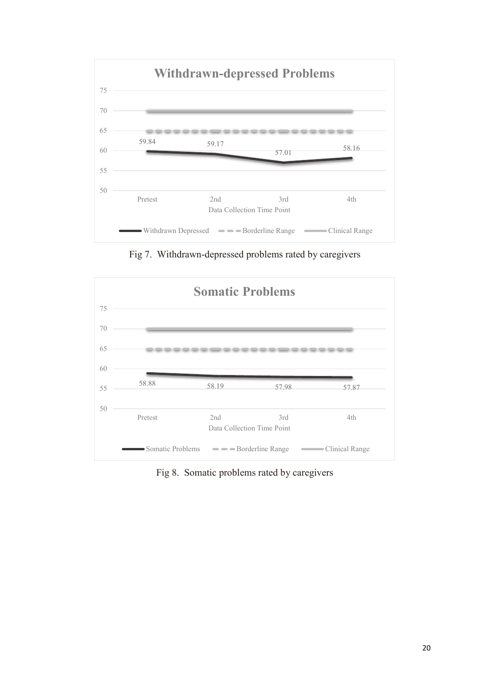

Fig 7. Withdrawn-depressed problems rated by caregivers



Fig 8. Somatic problems rated by caregivers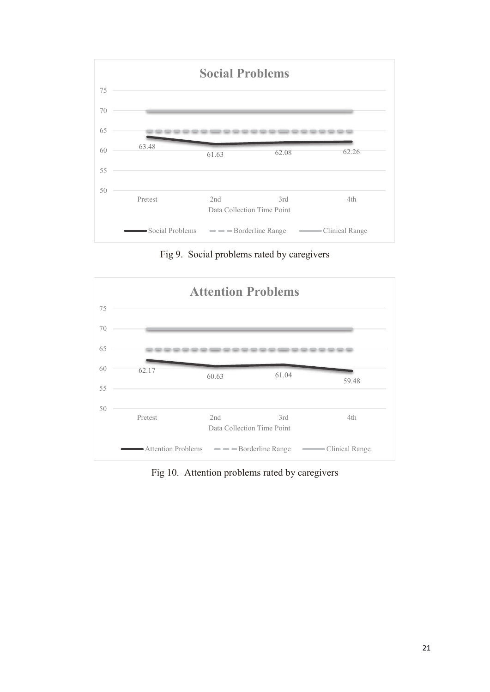

Fig 9. Social problems rated by caregivers



Fig 10. Attention problems rated by caregivers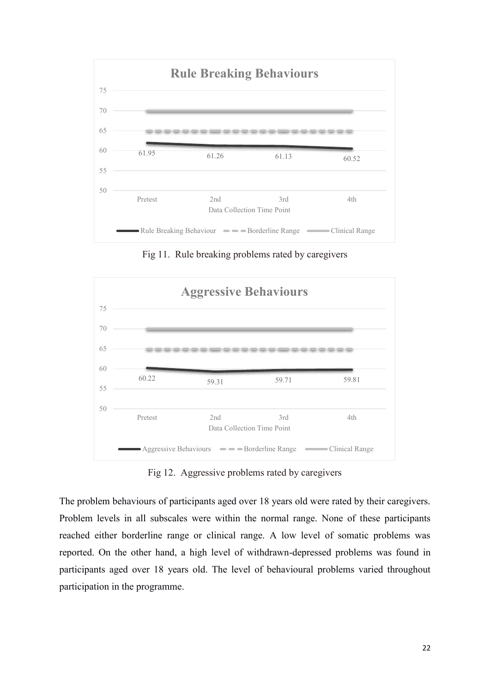

Fig 11. Rule breaking problems rated by caregivers



Fig 12. Aggressive problems rated by caregivers

The problem behaviours of participants aged over 18 years old were rated by their caregivers. Problem levels in all subscales were within the normal range. None of these participants reached either borderline range or clinical range. A low level of somatic problems was reported. On the other hand, a high level of withdrawn-depressed problems was found in participants aged over 18 years old. The level of behavioural problems varied throughout participation in the programme.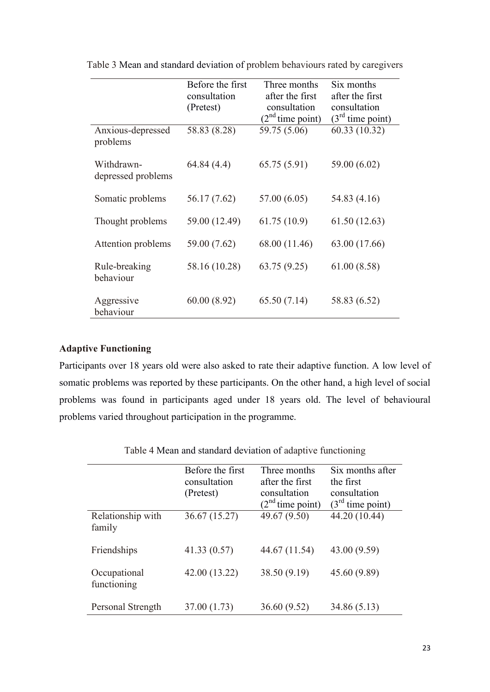|                                  | Before the first<br>consultation<br>(Pretest) | Three months<br>after the first<br>consultation<br>$(2nd$ time point) | Six months<br>after the first<br>consultation<br>$(3rd$ time point) |
|----------------------------------|-----------------------------------------------|-----------------------------------------------------------------------|---------------------------------------------------------------------|
| Anxious-depressed<br>problems    | 58.83 (8.28)                                  | 59.75 (5.06)                                                          | 60.33 (10.32)                                                       |
| Withdrawn-<br>depressed problems | 64.84 (4.4)                                   | 65.75(5.91)                                                           | 59.00 (6.02)                                                        |
| Somatic problems                 | 56.17 (7.62)                                  | 57.00 (6.05)                                                          | 54.83 (4.16)                                                        |
| Thought problems                 | 59.00 (12.49)                                 | 61.75(10.9)                                                           | 61.50(12.63)                                                        |
| Attention problems               | 59.00 (7.62)                                  | 68.00 (11.46)                                                         | 63.00 (17.66)                                                       |
| Rule-breaking<br>behaviour       | 58.16 (10.28)                                 | 63.75(9.25)                                                           | 61.00(8.58)                                                         |
| Aggressive<br>behaviour          | 60.00(8.92)                                   | 65.50(7.14)                                                           | 58.83 (6.52)                                                        |

Table 3 Mean and standard deviation of problem behaviours rated by caregivers

#### **Adaptive Functioning**

Participants over 18 years old were also asked to rate their adaptive function. A low level of somatic problems was reported by these participants. On the other hand, a high level of social problems was found in participants aged under 18 years old. The level of behavioural problems varied throughout participation in the programme.

|                             | Before the first<br>consultation<br>(Pretest) | Three months<br>after the first<br>consultation<br>$(2nd$ time point) | Six months after<br>the first<br>consultation<br>$(3rd$ time point) |
|-----------------------------|-----------------------------------------------|-----------------------------------------------------------------------|---------------------------------------------------------------------|
| Relationship with<br>family | 36.67 (15.27)                                 | 49.67 (9.50)                                                          | 44.20 (10.44)                                                       |
| Friendships                 | 41.33(0.57)                                   | 44.67 (11.54)                                                         | 43.00 (9.59)                                                        |
| Occupational<br>functioning | 42.00 (13.22)                                 | 38.50 (9.19)                                                          | 45.60 (9.89)                                                        |
| Personal Strength           | 37.00 (1.73)                                  | 36.60 (9.52)                                                          | 34.86 (5.13)                                                        |

Table 4 Mean and standard deviation of adaptive functioning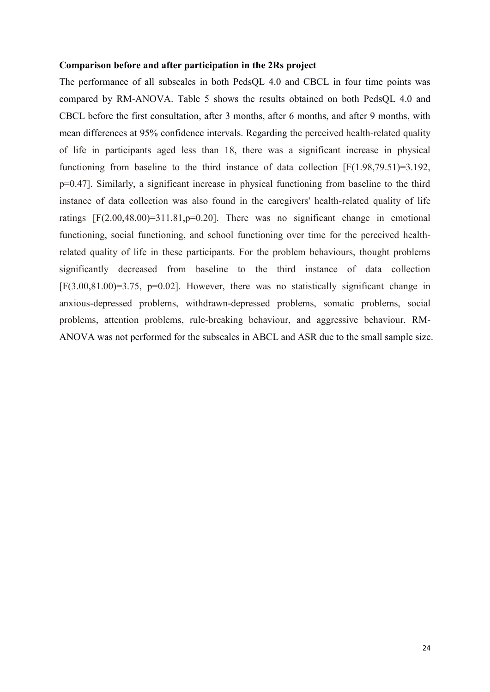#### **Comparison before and after participation in the 2Rs project**

The performance of all subscales in both PedsQL 4.0 and CBCL in four time points was compared by RM-ANOVA. Table 5 shows the results obtained on both PedsQL 4.0 and CBCL before the first consultation, after 3 months, after 6 months, and after 9 months, with mean differences at 95% confidence intervals. Regarding the perceived health-related quality of life in participants aged less than 18, there was a significant increase in physical functioning from baseline to the third instance of data collection [F(1.98,79.51)=3.192, p=0.47]. Similarly, a significant increase in physical functioning from baseline to the third instance of data collection was also found in the caregivers' health-related quality of life ratings  $[F(2.00, 48.00)=311.81, p=0.20]$ . There was no significant change in emotional functioning, social functioning, and school functioning over time for the perceived healthrelated quality of life in these participants. For the problem behaviours, thought problems significantly decreased from baseline to the third instance of data collection  $[F(3.00,81.00)=3.75, p=0.02]$ . However, there was no statistically significant change in anxious-depressed problems, withdrawn-depressed problems, somatic problems, social problems, attention problems, rule-breaking behaviour, and aggressive behaviour. RM-ANOVA was not performed for the subscales in ABCL and ASR due to the small sample size.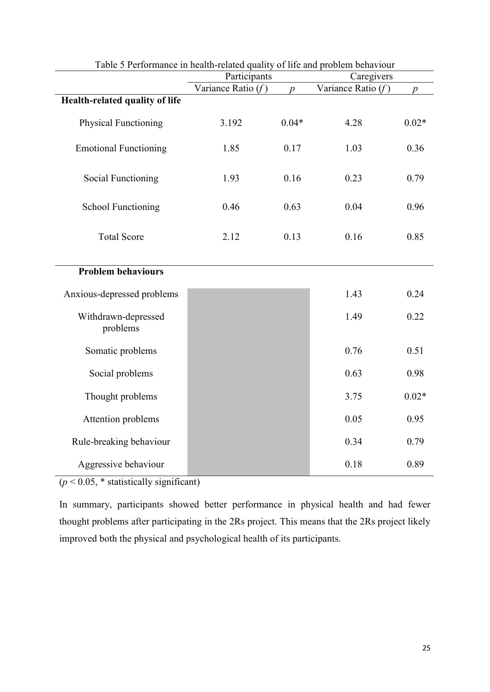|                                 | Table 5 Performance in health-related quality of life and problem behaviour |                  |                      |                  |
|---------------------------------|-----------------------------------------------------------------------------|------------------|----------------------|------------------|
|                                 | Participants                                                                |                  | Caregivers           |                  |
|                                 | Variance Ratio $(f)$                                                        | $\boldsymbol{p}$ | Variance Ratio $(f)$ | $\boldsymbol{p}$ |
| Health-related quality of life  |                                                                             |                  |                      |                  |
| <b>Physical Functioning</b>     | 3.192                                                                       | $0.04*$          | 4.28                 | $0.02*$          |
| <b>Emotional Functioning</b>    | 1.85                                                                        | 0.17             | 1.03                 | 0.36             |
| <b>Social Functioning</b>       | 1.93                                                                        | 0.16             | 0.23                 | 0.79             |
| <b>School Functioning</b>       | 0.46                                                                        | 0.63             | 0.04                 | 0.96             |
| <b>Total Score</b>              | 2.12                                                                        | 0.13             | 0.16                 | 0.85             |
| <b>Problem behaviours</b>       |                                                                             |                  |                      |                  |
| Anxious-depressed problems      |                                                                             |                  | 1.43                 | 0.24             |
| Withdrawn-depressed<br>problems |                                                                             |                  | 1.49                 | 0.22             |
| Somatic problems                |                                                                             |                  | 0.76                 | 0.51             |
| Social problems                 |                                                                             |                  | 0.63                 | 0.98             |
| Thought problems                |                                                                             |                  | 3.75                 | $0.02*$          |
| Attention problems              |                                                                             |                  | 0.05                 | 0.95             |
| Rule-breaking behaviour         |                                                                             |                  | 0.34                 | 0.79             |
| Aggressive behaviour            |                                                                             |                  | 0.18                 | 0.89             |

Table 5 Performance in health-related quality of life and problem behaviour

 $(p < 0.05, *$  statistically significant)

In summary, participants showed better performance in physical health and had fewer thought problems after participating in the 2Rs project. This means that the 2Rs project likely improved both the physical and psychological health of its participants.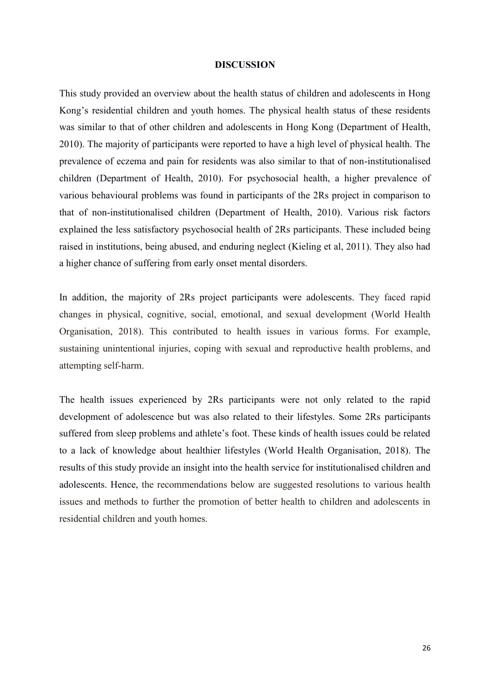#### **DISCUSSION**

This study provided an overview about the health status of children and adolescents in Hong Kong's residential children and youth homes. The physical health status of these residents was similar to that of other children and adolescents in Hong Kong (Department of Health, 2010). The majority of participants were reported to have a high level of physical health. The prevalence of eczema and pain for residents was also similar to that of non-institutionalised children (Department of Health, 2010). For psychosocial health, a higher prevalence of various behavioural problems was found in participants of the 2Rs project in comparison to that of non-institutionalised children (Department of Health, 2010). Various risk factors explained the less satisfactory psychosocial health of 2Rs participants. These included being raised in institutions, being abused, and enduring neglect (Kieling et al, 2011). They also had a higher chance of suffering from early onset mental disorders.

In addition, the majority of 2Rs project participants were adolescents. They faced rapid changes in physical, cognitive, social, emotional, and sexual development (World Health Organisation, 2018). This contributed to health issues in various forms. For example, sustaining unintentional injuries, coping with sexual and reproductive health problems, and attempting self-harm.

The health issues experienced by 2Rs participants were not only related to the rapid development of adolescence but was also related to their lifestyles. Some 2Rs participants suffered from sleep problems and athlete's foot. These kinds of health issues could be related to a lack of knowledge about healthier lifestyles (World Health Organisation, 2018). The results of this study provide an insight into the health service for institutionalised children and adolescents. Hence, the recommendations below are suggested resolutions to various health issues and methods to further the promotion of better health to children and adolescents in residential children and youth homes.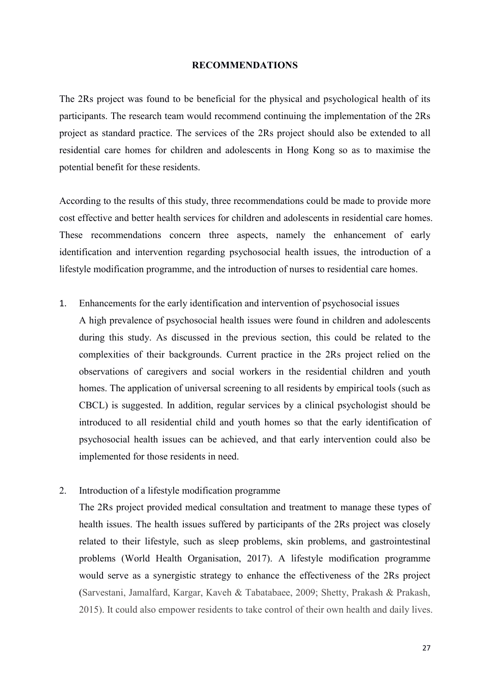#### **RECOMMENDATIONS**

The 2Rs project was found to be beneficial for the physical and psychological health of its participants. The research team would recommend continuing the implementation of the 2Rs project as standard practice. The services of the 2Rs project should also be extended to all residential care homes for children and adolescents in Hong Kong so as to maximise the potential benefit for these residents.

According to the results of this study, three recommendations could be made to provide more cost effective and better health services for children and adolescents in residential care homes. These recommendations concern three aspects, namely the enhancement of early identification and intervention regarding psychosocial health issues, the introduction of a lifestyle modification programme, and the introduction of nurses to residential care homes.

1. Enhancements for the early identification and intervention of psychosocial issues

A high prevalence of psychosocial health issues were found in children and adolescents during this study. As discussed in the previous section, this could be related to the complexities of their backgrounds. Current practice in the 2Rs project relied on the observations of caregivers and social workers in the residential children and youth homes. The application of universal screening to all residents by empirical tools (such as CBCL) is suggested. In addition, regular services by a clinical psychologist should be introduced to all residential child and youth homes so that the early identification of psychosocial health issues can be achieved, and that early intervention could also be implemented for those residents in need.

2. Introduction of a lifestyle modification programme

The 2Rs project provided medical consultation and treatment to manage these types of health issues. The health issues suffered by participants of the 2Rs project was closely related to their lifestyle, such as sleep problems, skin problems, and gastrointestinal problems (World Health Organisation, 2017). A lifestyle modification programme would serve as a synergistic strategy to enhance the effectiveness of the 2Rs project (Sarvestani, Jamalfard, Kargar, Kaveh & Tabatabaee, 2009; Shetty, Prakash & Prakash, 2015). It could also empower residents to take control of their own health and daily lives.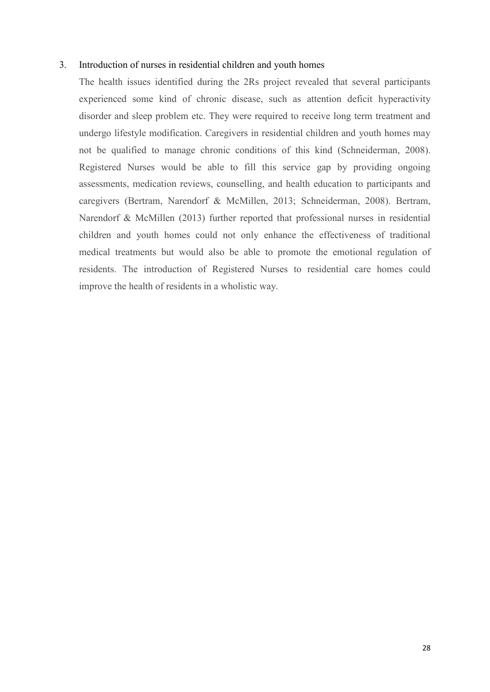#### 3. Introduction of nurses in residential children and youth homes

The health issues identified during the 2Rs project revealed that several participants experienced some kind of chronic disease, such as attention deficit hyperactivity disorder and sleep problem etc. They were required to receive long term treatment and undergo lifestyle modification. Caregivers in residential children and youth homes may not be qualified to manage chronic conditions of this kind (Schneiderman, 2008). Registered Nurses would be able to fill this service gap by providing ongoing assessments, medication reviews, counselling, and health education to participants and caregivers (Bertram, Narendorf & McMillen, 2013; Schneiderman, 2008). Bertram, Narendorf & McMillen (2013) further reported that professional nurses in residential children and youth homes could not only enhance the effectiveness of traditional medical treatments but would also be able to promote the emotional regulation of residents. The introduction of Registered Nurses to residential care homes could improve the health of residents in a wholistic way.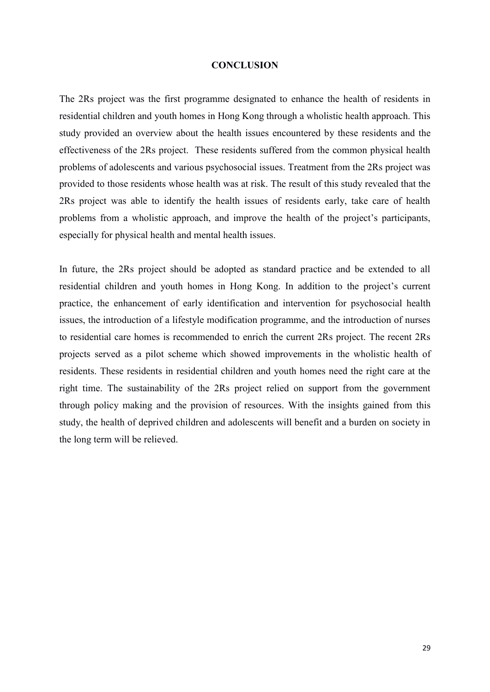#### **CONCLUSION**

The 2Rs project was the first programme designated to enhance the health of residents in residential children and youth homes in Hong Kong through a wholistic health approach. This study provided an overview about the health issues encountered by these residents and the effectiveness of the 2Rs project. These residents suffered from the common physical health problems of adolescents and various psychosocial issues. Treatment from the 2Rs project was provided to those residents whose health was at risk. The result of this study revealed that the 2Rs project was able to identify the health issues of residents early, take care of health problems from a wholistic approach, and improve the health of the project's participants, especially for physical health and mental health issues.

In future, the 2Rs project should be adopted as standard practice and be extended to all residential children and youth homes in Hong Kong. In addition to the project's current practice, the enhancement of early identification and intervention for psychosocial health issues, the introduction of a lifestyle modification programme, and the introduction of nurses to residential care homes is recommended to enrich the current 2Rs project. The recent 2Rs projects served as a pilot scheme which showed improvements in the wholistic health of residents. These residents in residential children and youth homes need the right care at the right time. The sustainability of the 2Rs project relied on support from the government through policy making and the provision of resources. With the insights gained from this study, the health of deprived children and adolescents will benefit and a burden on society in the long term will be relieved.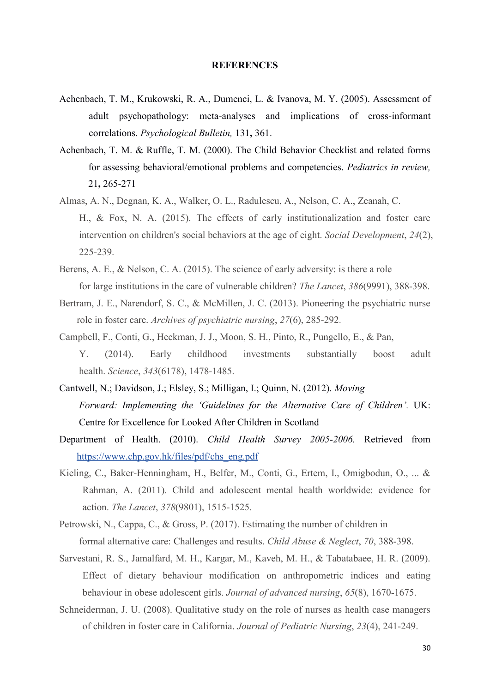#### **REFERENCES**

- Achenbach, T. M., Krukowski, R. A., Dumenci, L. & Ivanova, M. Y. (2005). Assessment of adult psychopathology: meta-analyses and implications of cross-informant correlations. *Psychological Bulletin,* 131**,** 361.
- Achenbach, T. M. & Ruffle, T. M. (2000). The Child Behavior Checklist and related forms for assessing behavioral/emotional problems and competencies. *Pediatrics in review,* 21**,** 265-271
- Almas, A. N., Degnan, K. A., Walker, O. L., Radulescu, A., Nelson, C. A., Zeanah, C. H., & Fox, N. A. (2015). The effects of early institutionalization and foster care intervention on children's social behaviors at the age of eight. *Social Development*, *24*(2), 225-239.
- Berens, A. E., & Nelson, C. A. (2015). The science of early adversity: is there a role for large institutions in the care of vulnerable children? *The Lancet*, *386*(9991), 388-398.
- Bertram, J. E., Narendorf, S. C., & McMillen, J. C. (2013). Pioneering the psychiatric nurse role in foster care. *Archives of psychiatric nursing*, *27*(6), 285-292.
- Campbell, F., Conti, G., Heckman, J. J., Moon, S. H., Pinto, R., Pungello, E., & Pan, Y. (2014). Early childhood investments substantially boost adult health. *Science*, *343*(6178), 1478-1485.
- Cantwell, N.; Davidson, J.; Elsley, S.; Milligan, I.; Quinn, N. (2012). *Moving Forward: Implementing the 'Guidelines for the Alternative Care of Children'.* UK: Centre for Excellence for Looked After Children in Scotland
- Department of Health. (2010). *Child Health Survey 2005-2006.* Retrieved from https://www.chp.gov.hk/files/pdf/chs\_eng.pdf
- Kieling, C., Baker-Henningham, H., Belfer, M., Conti, G., Ertem, I., Omigbodun, O., ... & Rahman, A. (2011). Child and adolescent mental health worldwide: evidence for action. *The Lancet*, *378*(9801), 1515-1525.
- Petrowski, N., Cappa, C., & Gross, P. (2017). Estimating the number of children in formal alternative care: Challenges and results. *Child Abuse & Neglect*, *70*, 388-398.
- Sarvestani, R. S., Jamalfard, M. H., Kargar, M., Kaveh, M. H., & Tabatabaee, H. R. (2009). Effect of dietary behaviour modification on anthropometric indices and eating behaviour in obese adolescent girls. *Journal of advanced nursing*, *65*(8), 1670-1675.
- Schneiderman, J. U. (2008). Qualitative study on the role of nurses as health case managers of children in foster care in California. *Journal of Pediatric Nursing*, *23*(4), 241-249.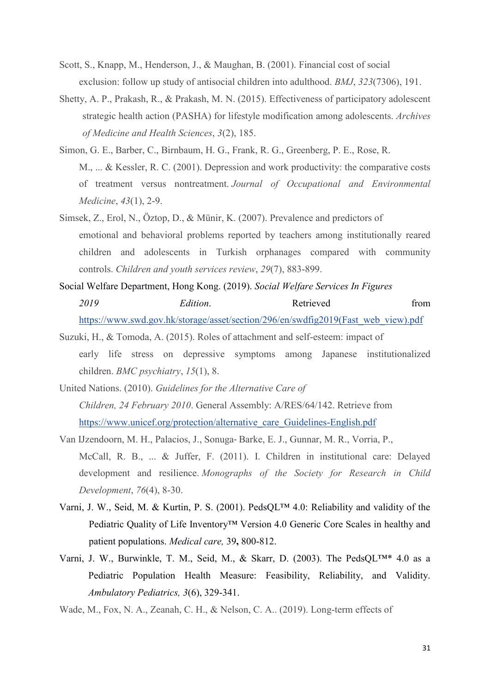- Scott, S., Knapp, M., Henderson, J., & Maughan, B. (2001). Financial cost of social exclusion: follow up study of antisocial children into adulthood. *BMJ*, *323*(7306), 191.
- Shetty, A. P., Prakash, R., & Prakash, M. N. (2015). Effectiveness of participatory adolescent strategic health action (PASHA) for lifestyle modification among adolescents. *Archives of Medicine and Health Sciences*, *3*(2), 185.
- Simon, G. E., Barber, C., Birnbaum, H. G., Frank, R. G., Greenberg, P. E., Rose, R. M., ... & Kessler, R. C. (2001). Depression and work productivity: the comparative costs of treatment versus nontreatment. *Journal of Occupational and Environmental Medicine*, *43*(1), 2-9.
- Simsek, Z., Erol, N., Öztop, D., & Münir, K. (2007). Prevalence and predictors of emotional and behavioral problems reported by teachers among institutionally reared children and adolescents in Turkish orphanages compared with community controls. *Children and youth services review*, *29*(7), 883-899.
- Social Welfare Department, Hong Kong. (2019). *Social Welfare Services In Figures*  2019 **Edition**. Retrieved from https://www.swd.gov.hk/storage/asset/section/296/en/swdfig2019(Fast\_web\_view).pdf
- Suzuki, H., & Tomoda, A. (2015). Roles of attachment and self-esteem: impact of early life stress on depressive symptoms among Japanese institutionalized children. *BMC psychiatry*, *15*(1), 8.
- United Nations. (2010). *Guidelines for the Alternative Care of Children, 24 February 2010*. General Assembly: A/RES/64/142. Retrieve from https://www.unicef.org/protection/alternative\_care\_Guidelines-English.pdf
- Van IJzendoorn, M. H., Palacios, J., Sonuga-Barke, E. J., Gunnar, M. R., Vorria, P., McCall, R. B., ... & Juffer, F. (2011). I. Children in institutional care: Delayed development and resilience. *Monographs of the Society for Research in Child Development*, *76*(4), 8-30.
- Varni, J. W., Seid, M. & Kurtin, P. S. (2001). PedsQL™ 4.0: Reliability and validity of the Pediatric Quality of Life Inventory™ Version 4.0 Generic Core Scales in healthy and patient populations. *Medical care,* 39**,** 800-812.
- Varni, J. W., Burwinkle, T. M., Seid, M., & Skarr, D. (2003). The PedsQL™\* 4.0 as a Pediatric Population Health Measure: Feasibility, Reliability, and Validity. *Ambulatory Pediatrics, 3*(6), 329-341.
- Wade, M., Fox, N. A., Zeanah, C. H., & Nelson, C. A.. (2019). Long-term effects of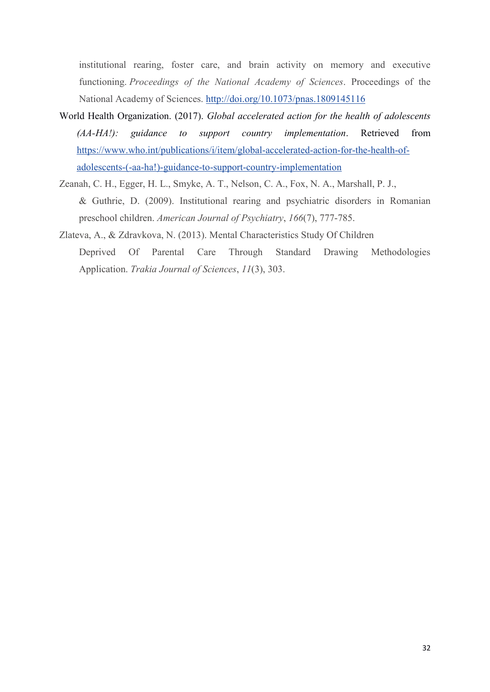institutional rearing, foster care, and brain activity on memory and executive functioning. *Proceedings of the National Academy of Sciences*. Proceedings of the National Academy of Sciences. http://doi.org/10.1073/pnas.1809145116

- World Health Organization. (2017). *Global accelerated action for the health of adolescents (AA-HA!): guidance to support country implementation*. Retrieved from https://www.who.int/publications/i/item/global-accelerated-action-for-the-health-ofadolescents-(-aa-ha!)-guidance-to-support-country-implementation
- Zeanah, C. H., Egger, H. L., Smyke, A. T., Nelson, C. A., Fox, N. A., Marshall, P. J., & Guthrie, D. (2009). Institutional rearing and psychiatric disorders in Romanian preschool children. *American Journal of Psychiatry*, *166*(7), 777-785.
- Zlateva, A., & Zdravkova, N. (2013). Mental Characteristics Study Of Children Deprived Of Parental Care Through Standard Drawing Methodologies Application. *Trakia Journal of Sciences*, *11*(3), 303.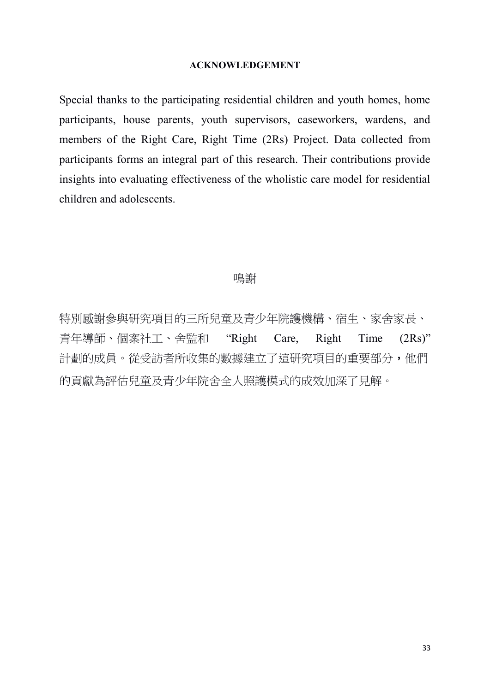#### **ACKNOWLEDGEMENT**

Special thanks to the participating residential children and youth homes, home participants, house parents, youth supervisors, caseworkers, wardens, and members of the Right Care, Right Time (2Rs) Project. Data collected from participants forms an integral part of this research. Their contributions provide insights into evaluating effectiveness of the wholistic care model for residential children and adolescents.

#### 鳴謝

特別感謝參與研究項目的三所兒童及青少年院護機構、宿生、家舍家長、 青年導師、個案社工、舍監和 "Right Care, Right Time (2Rs)" 計劃的成員。從受訪者所收集的數據建立了這研究項目的重要部分,他們 的貢獻為評估兒童及青少年院舍全人照護模式的成效加深了見解。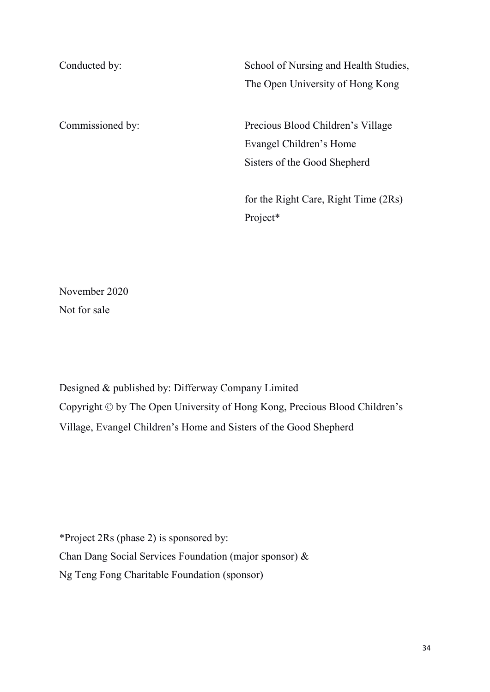Conducted by: School of Nursing and Health Studies, The Open University of Hong Kong Commissioned by: Precious Blood Children's Village Evangel Children's Home Sisters of the Good Shepherd for the Right Care, Right Time (2Rs) Project\*

November 2020 Not for sale

Designed & published by: Differway Company Limited Copyright © by The Open University of Hong Kong, Precious Blood Children's Village, Evangel Children's Home and Sisters of the Good Shepherd

\*Project 2Rs (phase 2) is sponsored by: Chan Dang Social Services Foundation (major sponsor) & Ng Teng Fong Charitable Foundation (sponsor)